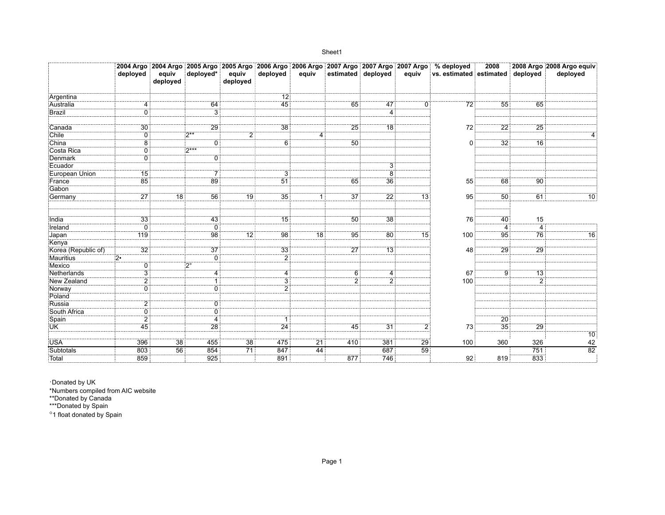| c |
|---|
|---|

|                     | deployed         | equiv    | deployed*               | equiv          | deployed        | equiv | estimated | deployed        | equiv            | 2004 Argo 2004 Argo 2005 Argo 2005 Argo 2006 Argo 2006 Argo 2007 Argo 2007 Argo 2007 Argo % deployed<br>vs. estimated estimated deployed | 2008           |                 | 2008 Argo 2008 Argo equiv<br>deployed |
|---------------------|------------------|----------|-------------------------|----------------|-----------------|-------|-----------|-----------------|------------------|------------------------------------------------------------------------------------------------------------------------------------------|----------------|-----------------|---------------------------------------|
|                     |                  | deployed |                         | deployed       |                 |       |           |                 |                  |                                                                                                                                          |                |                 |                                       |
| Argentina           |                  |          |                         |                |                 |       |           |                 |                  |                                                                                                                                          |                |                 |                                       |
| Australia           |                  |          | 64                      |                | $\frac{12}{45}$ |       | 65        | 47              |                  | 72                                                                                                                                       | 55             | 65              |                                       |
| Brazil              | 0                |          | $\overline{\mathbf{3}}$ |                |                 |       |           | $\overline{4}$  |                  |                                                                                                                                          |                |                 |                                       |
| Canada              | 30 <sub>1</sub>  |          | 29                      |                | 38              |       | 25        | $\overline{18}$ |                  | 72                                                                                                                                       | 22             | 25              |                                       |
| Chile               | 0:               |          | $2**$                   | $\overline{2}$ |                 | 4     |           |                 |                  |                                                                                                                                          |                |                 |                                       |
| China               | 8:               |          | 0                       |                | 6 <sup>1</sup>  |       | 50        |                 |                  | 0                                                                                                                                        | 32             | 16              |                                       |
| Costa Rica          | $\overline{0}$ : |          | $2***$                  |                |                 |       |           |                 |                  |                                                                                                                                          |                |                 |                                       |
| Denmark             | 0:               |          | 0                       |                |                 |       |           |                 |                  |                                                                                                                                          |                |                 |                                       |
| Ecuador             |                  |          |                         |                |                 |       |           | 3               |                  |                                                                                                                                          |                |                 |                                       |
| European Union      | 15 <sub>1</sub>  |          |                         |                | 3               |       |           | $\frac{8}{36}$  |                  |                                                                                                                                          |                |                 |                                       |
| France              | 85               |          | $\overline{89}$         |                | $\overline{51}$ |       | 65        |                 |                  | 55                                                                                                                                       | 68             | 90              |                                       |
| Gabon               |                  |          |                         |                |                 |       |           |                 |                  |                                                                                                                                          |                |                 |                                       |
| Germany             | 27:              | 18       | 56                      | 19             | 35              |       | 37        | $\overline{22}$ | 13               | 95                                                                                                                                       | 50             | 61              | 10                                    |
|                     |                  |          |                         |                |                 |       |           |                 |                  |                                                                                                                                          |                |                 |                                       |
| India               | 33               |          | 43                      |                | 15              |       | 50        | 38              |                  | 76                                                                                                                                       | 40             | 15              |                                       |
| Ireland             | $\overline{0}$ : |          | Ő                       |                |                 |       |           |                 |                  |                                                                                                                                          | $\overline{4}$ |                 |                                       |
| Japan               | 119              |          | 98                      | 12             | 98              | 18    | 95        | $\overline{80}$ |                  | 100                                                                                                                                      | 95             | 76              |                                       |
| Kenya               |                  |          |                         |                |                 |       |           |                 |                  |                                                                                                                                          |                |                 |                                       |
| Korea (Republic of) | $\overline{32}$  |          | $\overline{37}$         |                | 33              |       | 27        | $\overline{13}$ |                  | 48                                                                                                                                       | 29             | $\overline{29}$ |                                       |
| Mauritius           | $^{2}$           |          | Ö                       |                | $\overline{2}$  |       |           |                 |                  |                                                                                                                                          |                |                 |                                       |
| Mexico              | 0:               |          | $2^{\circ}$             |                |                 |       |           |                 |                  |                                                                                                                                          |                |                 |                                       |
| Netherlands         | $\overline{3}$   |          | $\overline{4}$          |                | 4:              |       | 6         | $\overline{4}$  |                  | 67                                                                                                                                       | 9:             | 13              |                                       |
| New Zealand         | $\overline{2}$ : |          |                         |                | $\overline{3}$  |       |           | $\overline{2}$  |                  | 100                                                                                                                                      |                |                 |                                       |
| Norway              | 0 i              |          | $\Omega$                |                | ゔ               |       |           |                 |                  |                                                                                                                                          |                |                 |                                       |
| Poland              |                  |          |                         |                |                 |       |           |                 |                  |                                                                                                                                          |                |                 |                                       |
| Russia              |                  |          | 0                       |                |                 |       |           |                 |                  |                                                                                                                                          |                |                 |                                       |
| South Africa        | 0:               |          | 0                       |                |                 |       |           |                 |                  |                                                                                                                                          |                |                 |                                       |
| Spain               | $\overline{2}$   |          | 4                       |                | 1 :             |       |           |                 |                  |                                                                                                                                          | 20             |                 |                                       |
| UK                  | 45               |          | 28                      |                | 24              |       | 45        | 31              | $\overline{2}$ : | 73                                                                                                                                       | 35             | 29              |                                       |
|                     |                  |          |                         |                |                 |       |           |                 |                  |                                                                                                                                          |                |                 | 10                                    |
| <b>USA</b>          | 396              | 38       | 455                     | 38             | 475             | 21    | 410       | 381             | 29               | 100                                                                                                                                      | 360            | 326             | 42                                    |
| Subtotals           | 803:             | 56       | 854                     | 71             | 847             | 44    |           | 687             | 59               |                                                                                                                                          |                | 751             | 82                                    |
| Total               | 859              |          | 925                     |                | 891             |       | 877       | 746             |                  | 92                                                                                                                                       | 819            | 833             |                                       |

·Donated by UK

\*Numbers compiled from AIC website

\*\*Donated by Canada

\*\*\*Donated by Spain

°1 float donated by Spain